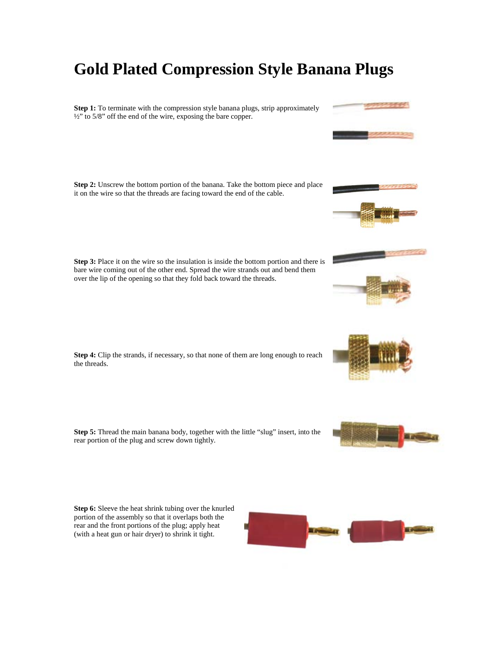## **Gold Plated Compression Style Banana Plugs**

**Step 1:** To terminate with the compression style banana plugs, strip approximately ½" to 5/8" off the end of the wire, exposing the bare copper.

**Step 2:** Unscrew the bottom portion of the banana. Take the bottom piece and place it on the wire so that the threads are facing toward the end of the cable.

**Step 3:** Place it on the wire so the insulation is inside the bottom portion and there is bare wire coming out of the other end. Spread the wire strands out and bend them over the lip of the opening so that they fold back toward the threads.

**Step 4:** Clip the strands, if necessary, so that none of them are long enough to reach the threads.

**Step 5:** Thread the main banana body, together with the little "slug" insert, into the rear portion of the plug and screw down tightly.

**Step 6:** Sleeve the heat shrink tubing over the knurled portion of the assembly so that it overlaps both the rear and the front portions of the plug; apply heat (with a heat gun or hair dryer) to shrink it tight.









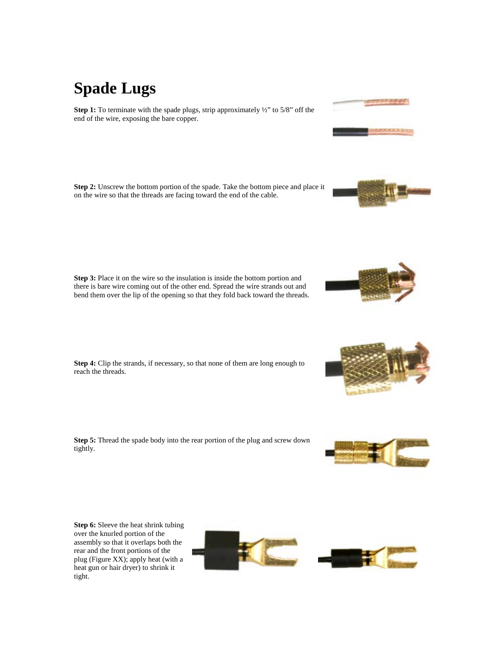# **Spade Lugs**

**Step 1:** To terminate with the spade plugs, strip approximately  $\frac{1}{2}$  to 5/8" off the end of the wire, exposing the bare copper.

**Step 2:** Unscrew the bottom portion of the spade. Take the bottom piece and place it on the wire so that the threads are facing toward the end of the cable.

**Step 3:** Place it on the wire so the insulation is inside the bottom portion and there is bare wire coming out of the other end. Spread the wire strands out and bend them over the lip of the opening so that they fold back toward the threads.

**Step 4:** Clip the strands, if necessary, so that none of them are long enough to reach the threads.

**Step 5:** Thread the spade body into the rear portion of the plug and screw down tightly.

**Step 6:** Sleeve the heat shrink tubing over the knurled portion of the assembly so that it overlaps both the rear and the front portions of the plug (Figure XX); apply heat (with a heat gun or hair dryer) to shrink it tight.













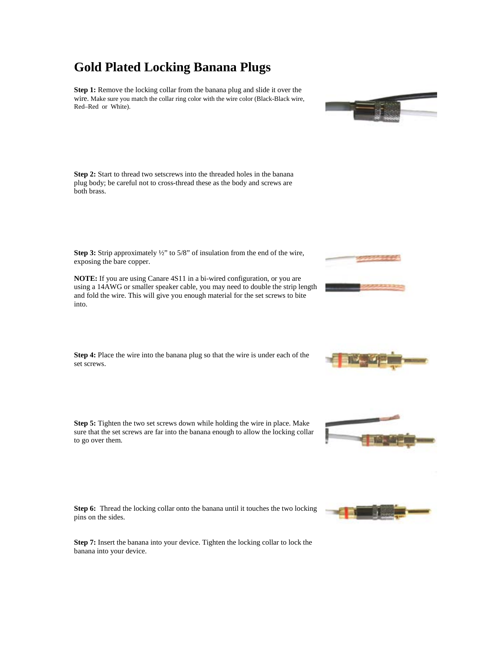### **Gold Plated Locking Banana Plugs**

**Step 1:** Remove the locking collar from the banana plug and slide it over the wire. Make sure you match the collar ring color with the wire color (Black-Black wire, Red–Red or White).

**Step 2:** Start to thread two setscrews into the threaded holes in the banana plug body; be careful not to cross-thread these as the body and screws are both brass.

**Step 3:** Strip approximately ½" to 5/8" of insulation from the end of the wire, exposing the bare copper.

**NOTE:** If you are using Canare 4S11 in a bi-wired configuration, or you are using a 14AWG or smaller speaker cable, you may need to double the strip length and fold the wire. This will give you enough material for the set screws to bite into.

**Step 4:** Place the wire into the banana plug so that the wire is under each of the set screws.

**Step 5:** Tighten the two set screws down while holding the wire in place. Make sure that the set screws are far into the banana enough to allow the locking collar to go over them.

**Step 6:** Thread the locking collar onto the banana until it touches the two locking pins on the sides.

**Step 7:** Insert the banana into your device. Tighten the locking collar to lock the banana into your device.











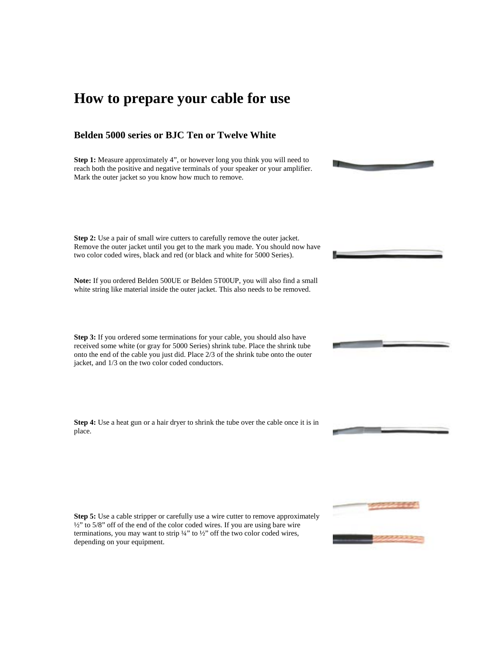## **How to prepare your cable for use**

#### **Belden 5000 series or BJC Ten or Twelve White**

**Step 1:** Measure approximately 4", or however long you think you will need to reach both the positive and negative terminals of your speaker or your amplifier. Mark the outer jacket so you know how much to remove.

**Step 2:** Use a pair of small wire cutters to carefully remove the outer jacket. Remove the outer jacket until you get to the mark you made. You should now have two color coded wires, black and red (or black and white for 5000 Series).

**Note:** If you ordered Belden 500UE or Belden 5T00UP, you will also find a small white string like material inside the outer jacket. This also needs to be removed.

**Step 3:** If you ordered some terminations for your cable, you should also have received some white (or gray for 5000 Series) shrink tube. Place the shrink tube onto the end of the cable you just did. Place 2/3 of the shrink tube onto the outer jacket, and 1/3 on the two color coded conductors.

**Step 4:** Use a heat gun or a hair dryer to shrink the tube over the cable once it is in place.

**Step 5:** Use a cable stripper or carefully use a wire cutter to remove approximately ½" to 5/8" off of the end of the color coded wires. If you are using bare wire terminations, you may want to strip ¼" to ½" off the two color coded wires, depending on your equipment.